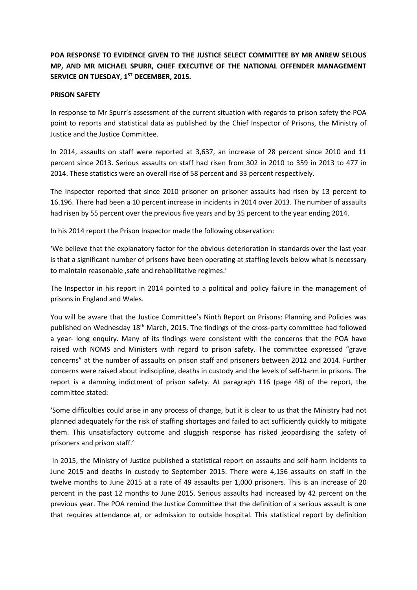# **POA RESPONSE TO EVIDENCE GIVEN TO THE JUSTICE SELECT COMMITTEE BY MR ANREW SELOUS MP, AND MR MICHAEL SPURR, CHIEF EXECUTIVE OF THE NATIONAL OFFENDER MANAGEMENT SERVICE ON TUESDAY, 1ST DECEMBER, 2015.**

## **PRISON SAFETY**

In response to Mr Spurr's assessment of the current situation with regards to prison safety the POA point to reports and statistical data as published by the Chief Inspector of Prisons, the Ministry of Justice and the Justice Committee.

In 2014, assaults on staff were reported at 3,637, an increase of 28 percent since 2010 and 11 percent since 2013. Serious assaults on staff had risen from 302 in 2010 to 359 in 2013 to 477 in 2014. These statistics were an overall rise of 58 percent and 33 percent respectively.

The Inspector reported that since 2010 prisoner on prisoner assaults had risen by 13 percent to 16.196. There had been a 10 percent increase in incidents in 2014 over 2013. The number of assaults had risen by 55 percent over the previous five years and by 35 percent to the year ending 2014.

In his 2014 report the Prison Inspector made the following observation:

'We believe that the explanatory factor for the obvious deterioration in standards over the last year is that a significant number of prisons have been operating at staffing levels below what is necessary to maintain reasonable ,safe and rehabilitative regimes.'

The Inspector in his report in 2014 pointed to a political and policy failure in the management of prisons in England and Wales.

You will be aware that the Justice Committee's Ninth Report on Prisons: Planning and Policies was published on Wednesday 18<sup>th</sup> March, 2015. The findings of the cross-party committee had followed a year- long enquiry. Many of its findings were consistent with the concerns that the POA have raised with NOMS and Ministers with regard to prison safety. The committee expressed "grave concerns" at the number of assaults on prison staff and prisoners between 2012 and 2014. Further concerns were raised about indiscipline, deaths in custody and the levels of self-harm in prisons. The report is a damning indictment of prison safety. At paragraph 116 (page 48) of the report, the committee stated:

'Some difficulties could arise in any process of change, but it is clear to us that the Ministry had not planned adequately for the risk of staffing shortages and failed to act sufficiently quickly to mitigate them. This unsatisfactory outcome and sluggish response has risked jeopardising the safety of prisoners and prison staff.'

In 2015, the Ministry of Justice published a statistical report on assaults and self-harm incidents to June 2015 and deaths in custody to September 2015. There were 4,156 assaults on staff in the twelve months to June 2015 at a rate of 49 assaults per 1,000 prisoners. This is an increase of 20 percent in the past 12 months to June 2015. Serious assaults had increased by 42 percent on the previous year. The POA remind the Justice Committee that the definition of a serious assault is one that requires attendance at, or admission to outside hospital. This statistical report by definition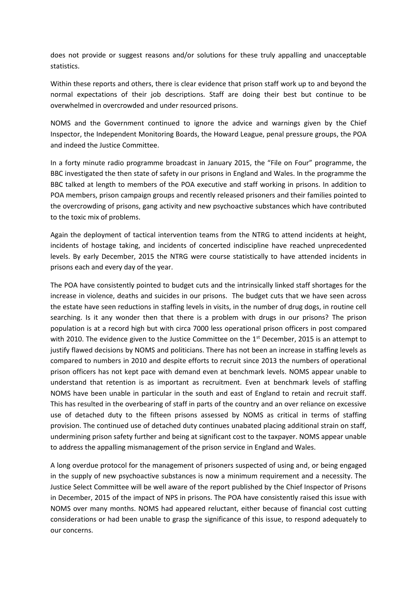does not provide or suggest reasons and/or solutions for these truly appalling and unacceptable statistics.

Within these reports and others, there is clear evidence that prison staff work up to and beyond the normal expectations of their job descriptions. Staff are doing their best but continue to be overwhelmed in overcrowded and under resourced prisons.

NOMS and the Government continued to ignore the advice and warnings given by the Chief Inspector, the Independent Monitoring Boards, the Howard League, penal pressure groups, the POA and indeed the Justice Committee.

In a forty minute radio programme broadcast in January 2015, the "File on Four" programme, the BBC investigated the then state of safety in our prisons in England and Wales. In the programme the BBC talked at length to members of the POA executive and staff working in prisons. In addition to POA members, prison campaign groups and recently released prisoners and their families pointed to the overcrowding of prisons, gang activity and new psychoactive substances which have contributed to the toxic mix of problems.

Again the deployment of tactical intervention teams from the NTRG to attend incidents at height, incidents of hostage taking, and incidents of concerted indiscipline have reached unprecedented levels. By early December, 2015 the NTRG were course statistically to have attended incidents in prisons each and every day of the year.

The POA have consistently pointed to budget cuts and the intrinsically linked staff shortages for the increase in violence, deaths and suicides in our prisons. The budget cuts that we have seen across the estate have seen reductions in staffing levels in visits, in the number of drug dogs, in routine cell searching. Is it any wonder then that there is a problem with drugs in our prisons? The prison population is at a record high but with circa 7000 less operational prison officers in post compared with 2010. The evidence given to the Justice Committee on the  $1<sup>st</sup>$  December, 2015 is an attempt to justify flawed decisions by NOMS and politicians. There has not been an increase in staffing levels as compared to numbers in 2010 and despite efforts to recruit since 2013 the numbers of operational prison officers has not kept pace with demand even at benchmark levels. NOMS appear unable to understand that retention is as important as recruitment. Even at benchmark levels of staffing NOMS have been unable in particular in the south and east of England to retain and recruit staff. This has resulted in the overbearing of staff in parts of the country and an over reliance on excessive use of detached duty to the fifteen prisons assessed by NOMS as critical in terms of staffing provision. The continued use of detached duty continues unabated placing additional strain on staff, undermining prison safety further and being at significant cost to the taxpayer. NOMS appear unable to address the appalling mismanagement of the prison service in England and Wales.

A long overdue protocol for the management of prisoners suspected of using and, or being engaged in the supply of new psychoactive substances is now a minimum requirement and a necessity. The Justice Select Committee will be well aware of the report published by the Chief Inspector of Prisons in December, 2015 of the impact of NPS in prisons. The POA have consistently raised this issue with NOMS over many months. NOMS had appeared reluctant, either because of financial cost cutting considerations or had been unable to grasp the significance of this issue, to respond adequately to our concerns.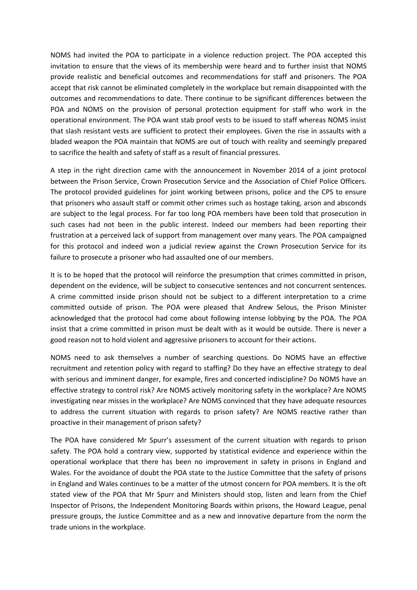NOMS had invited the POA to participate in a violence reduction project. The POA accepted this invitation to ensure that the views of its membership were heard and to further insist that NOMS provide realistic and beneficial outcomes and recommendations for staff and prisoners. The POA accept that risk cannot be eliminated completely in the workplace but remain disappointed with the outcomes and recommendations to date. There continue to be significant differences between the POA and NOMS on the provision of personal protection equipment for staff who work in the operational environment. The POA want stab proof vests to be issued to staff whereas NOMS insist that slash resistant vests are sufficient to protect their employees. Given the rise in assaults with a bladed weapon the POA maintain that NOMS are out of touch with reality and seemingly prepared to sacrifice the health and safety of staff as a result of financial pressures.

A step in the right direction came with the announcement in November 2014 of a joint protocol between the Prison Service, Crown Prosecution Service and the Association of Chief Police Officers. The protocol provided guidelines for joint working between prisons, police and the CPS to ensure that prisoners who assault staff or commit other crimes such as hostage taking, arson and absconds are subject to the legal process. For far too long POA members have been told that prosecution in such cases had not been in the public interest. Indeed our members had been reporting their frustration at a perceived lack of support from management over many years. The POA campaigned for this protocol and indeed won a judicial review against the Crown Prosecution Service for its failure to prosecute a prisoner who had assaulted one of our members.

It is to be hoped that the protocol will reinforce the presumption that crimes committed in prison, dependent on the evidence, will be subject to consecutive sentences and not concurrent sentences. A crime committed inside prison should not be subject to a different interpretation to a crime committed outside of prison. The POA were pleased that Andrew Selous, the Prison Minister acknowledged that the protocol had come about following intense lobbying by the POA. The POA insist that a crime committed in prison must be dealt with as it would be outside. There is never a good reason not to hold violent and aggressive prisoners to account for their actions.

NOMS need to ask themselves a number of searching questions. Do NOMS have an effective recruitment and retention policy with regard to staffing? Do they have an effective strategy to deal with serious and imminent danger, for example, fires and concerted indiscipline? Do NOMS have an effective strategy to control risk? Are NOMS actively monitoring safety in the workplace? Are NOMS investigating near misses in the workplace? Are NOMS convinced that they have adequate resources to address the current situation with regards to prison safety? Are NOMS reactive rather than proactive in their management of prison safety?

The POA have considered Mr Spurr's assessment of the current situation with regards to prison safety. The POA hold a contrary view, supported by statistical evidence and experience within the operational workplace that there has been no improvement in safety in prisons in England and Wales. For the avoidance of doubt the POA state to the Justice Committee that the safety of prisons in England and Wales continues to be a matter of the utmost concern for POA members. It is the oft stated view of the POA that Mr Spurr and Ministers should stop, listen and learn from the Chief Inspector of Prisons, the Independent Monitoring Boards within prisons, the Howard League, penal pressure groups, the Justice Committee and as a new and innovative departure from the norm the trade unions in the workplace.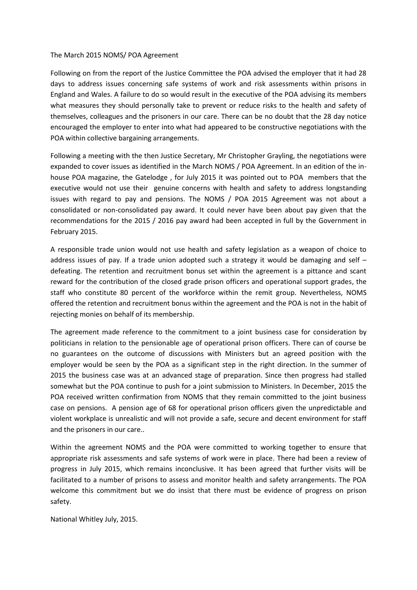#### The March 2015 NOMS/ POA Agreement

Following on from the report of the Justice Committee the POA advised the employer that it had 28 days to address issues concerning safe systems of work and risk assessments within prisons in England and Wales. A failure to do so would result in the executive of the POA advising its members what measures they should personally take to prevent or reduce risks to the health and safety of themselves, colleagues and the prisoners in our care. There can be no doubt that the 28 day notice encouraged the employer to enter into what had appeared to be constructive negotiations with the POA within collective bargaining arrangements.

Following a meeting with the then Justice Secretary, Mr Christopher Grayling, the negotiations were expanded to cover issues as identified in the March NOMS / POA Agreement. In an edition of the inhouse POA magazine, the Gatelodge , for July 2015 it was pointed out to POA members that the executive would not use their genuine concerns with health and safety to address longstanding issues with regard to pay and pensions. The NOMS / POA 2015 Agreement was not about a consolidated or non-consolidated pay award. It could never have been about pay given that the recommendations for the 2015 / 2016 pay award had been accepted in full by the Government in February 2015.

A responsible trade union would not use health and safety legislation as a weapon of choice to address issues of pay. If a trade union adopted such a strategy it would be damaging and self  $$ defeating. The retention and recruitment bonus set within the agreement is a pittance and scant reward for the contribution of the closed grade prison officers and operational support grades, the staff who constitute 80 percent of the workforce within the remit group. Nevertheless, NOMS offered the retention and recruitment bonus within the agreement and the POA is not in the habit of rejecting monies on behalf of its membership.

The agreement made reference to the commitment to a joint business case for consideration by politicians in relation to the pensionable age of operational prison officers. There can of course be no guarantees on the outcome of discussions with Ministers but an agreed position with the employer would be seen by the POA as a significant step in the right direction. In the summer of 2015 the business case was at an advanced stage of preparation. Since then progress had stalled somewhat but the POA continue to push for a joint submission to Ministers. In December, 2015 the POA received written confirmation from NOMS that they remain committed to the joint business case on pensions. A pension age of 68 for operational prison officers given the unpredictable and violent workplace is unrealistic and will not provide a safe, secure and decent environment for staff and the prisoners in our care..

Within the agreement NOMS and the POA were committed to working together to ensure that appropriate risk assessments and safe systems of work were in place. There had been a review of progress in July 2015, which remains inconclusive. It has been agreed that further visits will be facilitated to a number of prisons to assess and monitor health and safety arrangements. The POA welcome this commitment but we do insist that there must be evidence of progress on prison safety.

National Whitley July, 2015.